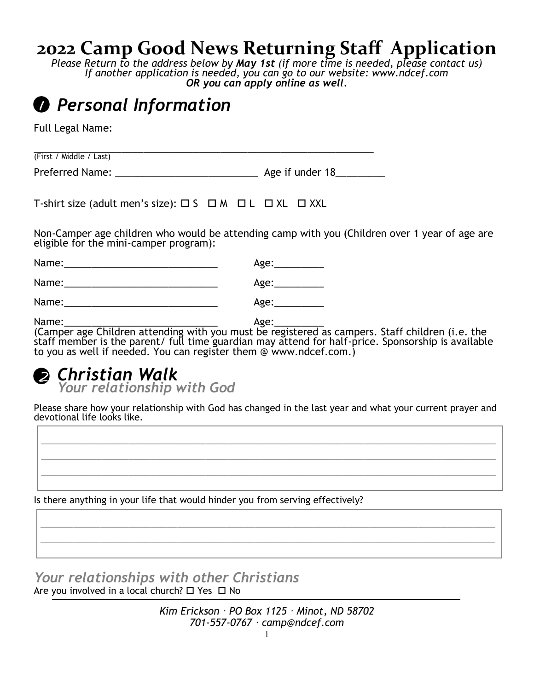## **2022 Camp Good News Returning Staff Application**

*Please Return to the address below by May 1st (if more time is needed, please contact us) If another application is needed, you can go to our website: www.ndcef.com OR you can apply online as well.*

## *Personal Information* 1

Full Legal Name:

(First / Middle / Last)

Preferred Name: \_\_\_\_\_\_\_\_\_\_\_\_\_\_\_\_\_\_\_\_\_\_\_\_\_\_ Age if under 18\_\_\_\_\_\_\_\_\_

\_\_\_\_\_\_\_\_\_\_\_\_\_\_\_\_\_\_\_\_\_\_\_\_\_\_\_\_\_\_\_\_\_\_\_\_\_\_\_\_\_\_\_\_\_\_\_\_\_\_\_\_\_\_\_\_\_\_\_\_\_\_

T-shirt size (adult men's size):  $\Box$  S  $\Box$  M  $\Box$  L  $\Box$  XL  $\Box$  XXL

Non-Camper age children who would be attending camp with you (Children over 1 year of age are eligible for the mini-camper program):

| Name: | Age: |
|-------|------|
| Name: | Age: |
| Name: | Age: |

Name:\_\_\_\_\_\_\_\_\_\_\_\_\_\_\_\_\_\_\_\_\_\_\_\_\_\_\_\_ Age:\_\_\_\_\_\_\_\_\_ (Camper age Children attending with you must be registered as campers. Staff children (i.e. the staff member is the parent/ full time guardian may attend for half-price. Sponsorship is available to you as well if needed. You can register them @ www.ndcef.com.)

#### *Christian Walk Your relationship with God* 2

Please share how your relationship with God has changed in the last year and what your current prayer and devotional life looks like.

\_\_\_\_\_\_\_\_\_\_\_\_\_\_\_\_\_\_\_\_\_\_\_\_\_\_\_\_\_\_\_\_\_\_\_\_\_\_\_\_\_\_\_\_\_\_\_\_\_\_\_\_\_\_\_\_\_\_\_\_\_\_\_\_\_\_\_\_\_\_\_\_\_\_\_\_\_\_\_\_\_\_\_ \_\_\_\_\_\_\_\_\_\_\_\_\_\_\_\_\_\_\_\_\_\_\_\_\_\_\_\_\_\_\_\_\_\_\_\_\_\_\_\_\_\_\_\_\_\_\_\_\_\_\_\_\_\_\_\_\_\_\_\_\_\_\_\_\_\_\_\_\_\_\_\_\_\_\_\_\_\_\_\_\_\_\_ \_\_\_\_\_\_\_\_\_\_\_\_\_\_\_\_\_\_\_\_\_\_\_\_\_\_\_\_\_\_\_\_\_\_\_\_\_\_\_\_\_\_\_\_\_\_\_\_\_\_\_\_\_\_\_\_\_\_\_\_\_\_\_\_\_\_\_\_\_\_\_\_\_\_\_\_\_\_\_\_\_\_\_

\_\_\_\_\_\_\_\_\_\_\_\_\_\_\_\_\_\_\_\_\_\_\_\_\_\_\_\_\_\_\_\_\_\_\_\_\_\_\_\_\_\_\_\_\_\_\_\_\_\_\_\_\_\_\_\_\_\_\_\_\_\_\_\_\_\_\_\_\_\_\_\_\_\_\_\_\_\_\_\_\_\_\_ \_\_\_\_\_\_\_\_\_\_\_\_\_\_\_\_\_\_\_\_\_\_\_\_\_\_\_\_\_\_\_\_\_\_\_\_\_\_\_\_\_\_\_\_\_\_\_\_\_\_\_\_\_\_\_\_\_\_\_\_\_\_\_\_\_\_\_\_\_\_\_\_\_\_\_\_\_\_\_\_\_\_\_

Is there anything in your life that would hinder you from serving effectively?

*Your relationships with other Christians* Are you involved in a local church?  $\Box$  Yes  $\Box$  No

> *Kim Erickson · PO Box 1125 · Minot, ND 58702 701-557-0767 · camp@ndcef.com*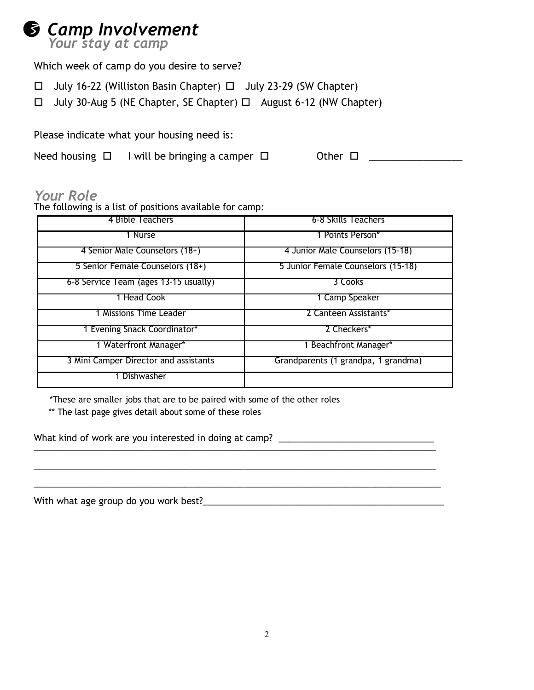

Which week of camp do you desire to serve?

- $\Box$  July 16-22 (Williston Basin Chapter)  $\Box$  July 23-29 (SW Chapter)
- $\Box$  July 30-Aug 5 (NE Chapter, SE Chapter)  $\Box$  August 6-12 (NW Chapter)

Please indicate what your housing need is:

Need housing  $\Box$  I will be bringing a camper  $\Box$  Other  $\Box$  \_\_\_\_\_\_\_\_\_\_\_\_\_\_\_\_\_\_\_

## *Your Role*

The following is a list of positions available for camp:

| 4 Bible Teachers                      | 6-8 Skills Teachers                 |
|---------------------------------------|-------------------------------------|
| 1 Nurse                               | 1 Points Person*                    |
| 4 Senior Male Counselors (18+)        | 4 Junior Male Counselors (15-18)    |
| 5 Senior Female Counselors (18+)      | 5 Junior Female Counselors (15-18)  |
| 6-8 Service Team (ages 13-15 usually) | 3 Cooks                             |
| 1 Head Cook                           | 1 Camp Speaker                      |
| 1 Missions Time Leader                | 2 Canteen Assistants*               |
| 1 Evening Snack Coordinator*          | 2 Checkers*                         |
| 1 Waterfront Manager*                 | 1 Beachfront Manager*               |
| 3 Mini Camper Director and assistants | Grandparents (1 grandpa, 1 grandma) |
| Dishwasher                            |                                     |

\_\_\_\_\_\_\_\_\_\_\_\_\_\_\_\_\_\_\_\_\_\_\_\_\_\_\_\_\_\_\_\_\_\_\_\_\_\_\_\_\_\_\_\_\_\_\_\_\_\_\_\_\_\_\_\_\_\_\_\_\_\_\_\_\_\_\_\_\_\_\_\_\_\_\_\_\_\_\_\_

\_\_\_\_\_\_\_\_\_\_\_\_\_\_\_\_\_\_\_\_\_\_\_\_\_\_\_\_\_\_\_\_\_\_\_\_\_\_\_\_\_\_\_\_\_\_\_\_\_\_\_\_\_\_\_\_\_\_\_\_\_\_\_\_\_\_\_\_\_\_\_\_\_\_\_\_\_\_\_\_\_

\*These are smaller jobs that are to be paired with some of the other roles

\*\* The last page gives detail about some of these roles

What kind of work are you interested in doing at camp? \_\_\_\_\_\_\_\_\_\_\_\_\_\_\_\_\_\_\_\_\_\_\_\_\_ \_\_\_\_\_\_\_\_\_\_\_\_\_\_\_\_\_\_\_\_\_\_\_\_\_\_\_\_\_\_\_\_\_\_\_\_\_\_\_\_\_\_\_\_\_\_\_\_\_\_\_\_\_\_\_\_\_\_\_\_\_\_\_\_\_\_\_\_\_\_\_\_\_\_\_\_\_\_\_\_

With what age group do you work best?\_\_\_\_\_\_\_\_\_\_\_\_\_\_\_\_\_\_\_\_\_\_\_\_\_\_\_\_\_\_\_\_\_\_\_\_\_\_\_\_\_\_\_\_\_\_\_\_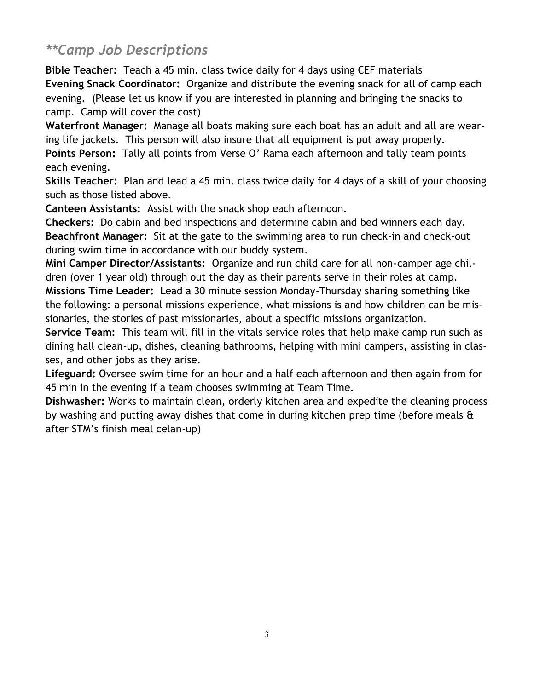## *\*\*Camp Job Descriptions*

**Bible Teacher:** Teach a 45 min. class twice daily for 4 days using CEF materials **Evening Snack Coordinator:** Organize and distribute the evening snack for all of camp each evening. (Please let us know if you are interested in planning and bringing the snacks to camp. Camp will cover the cost)

**Waterfront Manager:** Manage all boats making sure each boat has an adult and all are wearing life jackets. This person will also insure that all equipment is put away properly.

**Points Person:** Tally all points from Verse O' Rama each afternoon and tally team points each evening.

**Skills Teacher:** Plan and lead a 45 min. class twice daily for 4 days of a skill of your choosing such as those listed above.

**Canteen Assistants:** Assist with the snack shop each afternoon.

**Checkers:** Do cabin and bed inspections and determine cabin and bed winners each day. **Beachfront Manager:** Sit at the gate to the swimming area to run check-in and check-out during swim time in accordance with our buddy system.

**Mini Camper Director/Assistants:** Organize and run child care for all non-camper age children (over 1 year old) through out the day as their parents serve in their roles at camp. **Missions Time Leader:** Lead a 30 minute session Monday-Thursday sharing something like the following: a personal missions experience, what missions is and how children can be missionaries, the stories of past missionaries, about a specific missions organization.

**Service Team:** This team will fill in the vitals service roles that help make camp run such as dining hall clean-up, dishes, cleaning bathrooms, helping with mini campers, assisting in classes, and other jobs as they arise.

**Lifeguard:** Oversee swim time for an hour and a half each afternoon and then again from for 45 min in the evening if a team chooses swimming at Team Time.

**Dishwasher:** Works to maintain clean, orderly kitchen area and expedite the cleaning process by washing and putting away dishes that come in during kitchen prep time (before meals & after STM's finish meal celan-up)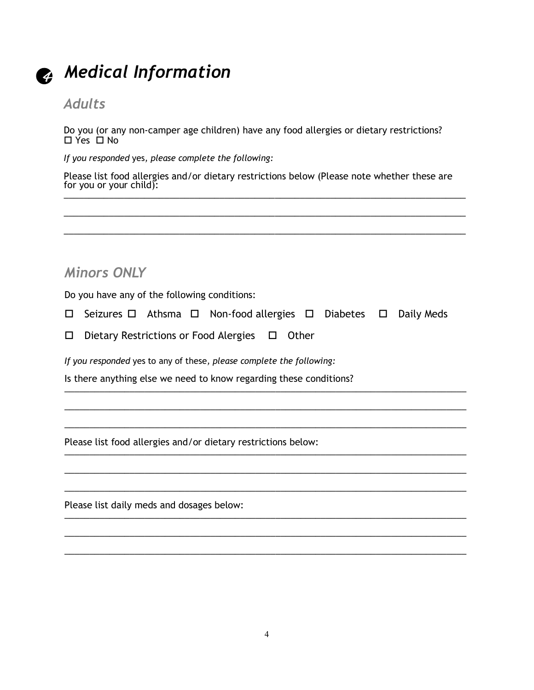

## 4 *Medical Information*

## *Adults*

Do you (or any non-camper age children) have any food allergies or dietary restrictions?  $\Box$  Yes  $\Box$  No

*If you responded* yes*, please complete the following:*

Please list food allergies and/or dietary restrictions below (Please note whether these are for you or your child):  $\frac{1}{2}$  ,  $\frac{1}{2}$  ,  $\frac{1}{2}$  ,  $\frac{1}{2}$  ,  $\frac{1}{2}$  ,  $\frac{1}{2}$  ,  $\frac{1}{2}$  ,  $\frac{1}{2}$  ,  $\frac{1}{2}$  ,  $\frac{1}{2}$  ,  $\frac{1}{2}$  ,  $\frac{1}{2}$  ,  $\frac{1}{2}$  ,  $\frac{1}{2}$  ,  $\frac{1}{2}$  ,  $\frac{1}{2}$  ,  $\frac{1}{2}$  ,  $\frac{1}{2}$  ,  $\frac{1$ 

\_\_\_\_\_\_\_\_\_\_\_\_\_\_\_\_\_\_\_\_\_\_\_\_\_\_\_\_\_\_\_\_\_\_\_\_\_\_\_\_\_\_\_\_\_\_\_\_\_\_\_\_\_\_\_\_\_\_\_\_\_\_\_\_\_\_\_\_\_\_\_\_\_\_\_\_\_\_\_\_

\_\_\_\_\_\_\_\_\_\_\_\_\_\_\_\_\_\_\_\_\_\_\_\_\_\_\_\_\_\_\_\_\_\_\_\_\_\_\_\_\_\_\_\_\_\_\_\_\_\_\_\_\_\_\_\_\_\_\_\_\_\_\_\_\_\_\_\_\_\_\_\_\_\_\_\_\_\_\_\_

## *Minors ONLY*

Do you have any of the following conditions:

 $\Box$  Seizures  $\Box$  Athsma  $\Box$  Non-food allergies  $\Box$  Diabetes  $\Box$  Daily Meds

\_\_\_\_\_\_\_\_\_\_\_\_\_\_\_\_\_\_\_\_\_\_\_\_\_\_\_\_\_\_\_\_\_\_\_\_\_\_\_\_\_\_\_\_\_\_\_\_\_\_\_\_\_\_\_\_\_\_\_\_\_\_\_\_\_\_\_\_\_\_\_\_\_\_\_\_\_\_\_\_

\_\_\_\_\_\_\_\_\_\_\_\_\_\_\_\_\_\_\_\_\_\_\_\_\_\_\_\_\_\_\_\_\_\_\_\_\_\_\_\_\_\_\_\_\_\_\_\_\_\_\_\_\_\_\_\_\_\_\_\_\_\_\_\_\_\_\_\_\_\_\_\_\_\_\_\_\_\_\_\_

\_\_\_\_\_\_\_\_\_\_\_\_\_\_\_\_\_\_\_\_\_\_\_\_\_\_\_\_\_\_\_\_\_\_\_\_\_\_\_\_\_\_\_\_\_\_\_\_\_\_\_\_\_\_\_\_\_\_\_\_\_\_\_\_\_\_\_\_\_\_\_\_\_\_\_\_\_\_\_\_

\_\_\_\_\_\_\_\_\_\_\_\_\_\_\_\_\_\_\_\_\_\_\_\_\_\_\_\_\_\_\_\_\_\_\_\_\_\_\_\_\_\_\_\_\_\_\_\_\_\_\_\_\_\_\_\_\_\_\_\_\_\_\_\_\_\_\_\_\_\_\_\_\_\_\_\_\_\_\_\_

\_\_\_\_\_\_\_\_\_\_\_\_\_\_\_\_\_\_\_\_\_\_\_\_\_\_\_\_\_\_\_\_\_\_\_\_\_\_\_\_\_\_\_\_\_\_\_\_\_\_\_\_\_\_\_\_\_\_\_\_\_\_\_\_\_\_\_\_\_\_\_\_\_\_\_\_\_\_\_\_

\_\_\_\_\_\_\_\_\_\_\_\_\_\_\_\_\_\_\_\_\_\_\_\_\_\_\_\_\_\_\_\_\_\_\_\_\_\_\_\_\_\_\_\_\_\_\_\_\_\_\_\_\_\_\_\_\_\_\_\_\_\_\_\_\_\_\_\_\_\_\_\_\_\_\_\_\_\_\_\_

 $\Box$  Dietary Restrictions or Food Alergies  $\Box$  Other

*If you responded* yes to any of these*, please complete the following:*

Is there anything else we need to know regarding these conditions? \_\_\_\_\_\_\_\_\_\_\_\_\_\_\_\_\_\_\_\_\_\_\_\_\_\_\_\_\_\_\_\_\_\_\_\_\_\_\_\_\_\_\_\_\_\_\_\_\_\_\_\_\_\_\_\_\_\_\_\_\_\_\_\_\_\_\_\_\_\_\_\_\_\_\_\_\_\_\_\_

Please list food allergies and/or dietary restrictions below: \_\_\_\_\_\_\_\_\_\_\_\_\_\_\_\_\_\_\_\_\_\_\_\_\_\_\_\_\_\_\_\_\_\_\_\_\_\_\_\_\_\_\_\_\_\_\_\_\_\_\_\_\_\_\_\_\_\_\_\_\_\_\_\_\_\_\_\_\_\_\_\_\_\_\_\_\_\_\_\_

Please list daily meds and dosages below: \_\_\_\_\_\_\_\_\_\_\_\_\_\_\_\_\_\_\_\_\_\_\_\_\_\_\_\_\_\_\_\_\_\_\_\_\_\_\_\_\_\_\_\_\_\_\_\_\_\_\_\_\_\_\_\_\_\_\_\_\_\_\_\_\_\_\_\_\_\_\_\_\_\_\_\_\_\_\_\_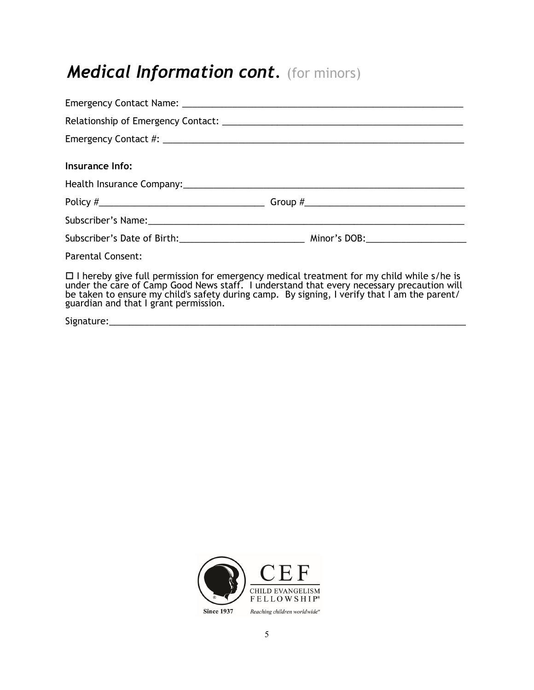# *Medical Information cont.* (for minors)

| Insurance Info:                                                                                                                                                                                                                                                                                                                       |  |
|---------------------------------------------------------------------------------------------------------------------------------------------------------------------------------------------------------------------------------------------------------------------------------------------------------------------------------------|--|
|                                                                                                                                                                                                                                                                                                                                       |  |
|                                                                                                                                                                                                                                                                                                                                       |  |
|                                                                                                                                                                                                                                                                                                                                       |  |
|                                                                                                                                                                                                                                                                                                                                       |  |
| <b>Parental Consent:</b>                                                                                                                                                                                                                                                                                                              |  |
| $\Box$ I hereby give full permission for emergency medical treatment for my child while s/he is<br>under the care of Camp Good News staff. I understand that every necessary precaution will<br>be taken to ensure my child's safety during camp. By signing, I verify that I am the parent/<br>guardian and that I grant permission. |  |
|                                                                                                                                                                                                                                                                                                                                       |  |

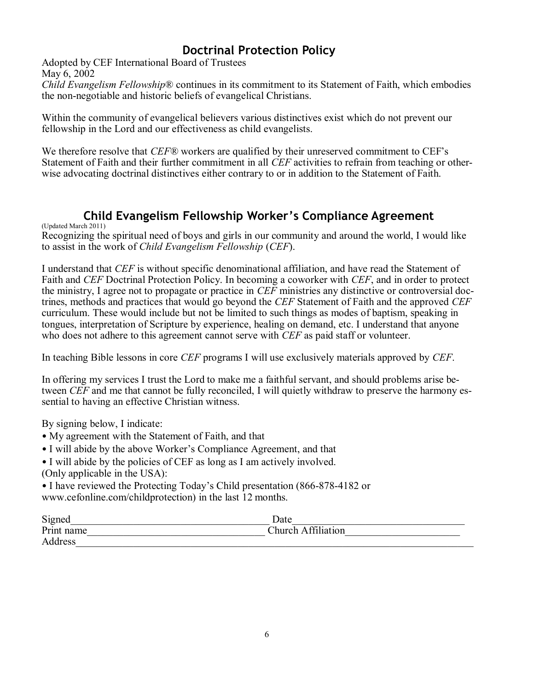### **Doctrinal Protection Policy**

Adopted by CEF International Board of Trustees May 6, 2002

*Child Evangelism Fellowship*® continues in its commitment to its Statement of Faith, which embodies the non-negotiable and historic beliefs of evangelical Christians.

Within the community of evangelical believers various distinctives exist which do not prevent our fellowship in the Lord and our effectiveness as child evangelists.

We therefore resolve that *CEF®* workers are qualified by their unreserved commitment to CEF's Statement of Faith and their further commitment in all *CEF* activities to refrain from teaching or otherwise advocating doctrinal distinctives either contrary to or in addition to the Statement of Faith.

#### **Child Evangelism Fellowship Worker's Compliance Agreement**

(Updated March 2011)

Recognizing the spiritual need of boys and girls in our community and around the world, I would like to assist in the work of *Child Evangelism Fellowship* (*CEF*).

I understand that *CEF* is without specific denominational affiliation, and have read the Statement of Faith and *CEF* Doctrinal Protection Policy. In becoming a coworker with *CEF*, and in order to protect the ministry, I agree not to propagate or practice in *CEF* ministries any distinctive or controversial doctrines, methods and practices that would go beyond the *CEF* Statement of Faith and the approved *CEF*  curriculum. These would include but not be limited to such things as modes of baptism, speaking in tongues, interpretation of Scripture by experience, healing on demand, etc. I understand that anyone who does not adhere to this agreement cannot serve with *CEF* as paid staff or volunteer.

In teaching Bible lessons in core *CEF* programs I will use exclusively materials approved by *CEF*.

In offering my services I trust the Lord to make me a faithful servant, and should problems arise between *CEF* and me that cannot be fully reconciled, I will quietly withdraw to preserve the harmony essential to having an effective Christian witness.

By signing below, I indicate:

- My agreement with the Statement of Faith, and that
- I will abide by the above Worker's Compliance Agreement, and that
- I will abide by the policies of CEF as long as I am actively involved.
- (Only applicable in the USA):

• I have reviewed the Protecting Today's Child presentation (866-878-4182 or www.cefonline.com/childprotection) in the last 12 months.

| Signed     | Date               |
|------------|--------------------|
| Print name | Church Affiliation |
| Address    |                    |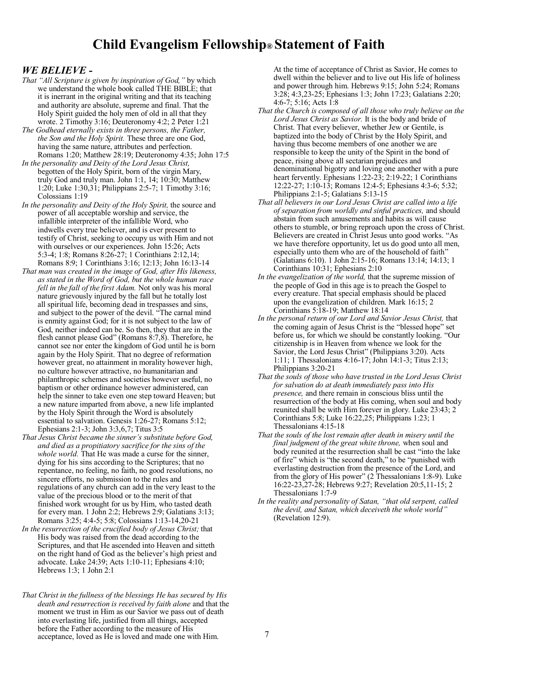#### **Child Evangelism Fellowship® Statement of Faith**

#### *WE BELIEVE -*

- *That "All Scripture is given by inspiration of God,"* by which we understand the whole book called THE BIBLE; that it is inerrant in the original writing and that its teaching and authority are absolute, supreme and final. That the Holy Spirit guided the holy men of old in all that they wrote. 2 Timothy 3:16; Deuteronomy 4:2; 2 Peter 1:21
- *The Godhead eternally exists in three persons, the Father, the Son and the Holy Spirit.* These three are one God, having the same nature, attributes and perfection. Romans 1:20; Matthew 28:19; Deuteronomy 4:35; John 17:5
- *In the personality and Deity of the Lord Jesus Christ,* begotten of the Holy Spirit, born of the virgin Mary, truly God and truly man. John 1:1, 14; 10:30; Matthew 1:20; Luke 1:30,31; Philippians 2:5-7; 1 Timothy 3:16; Colossians 1:19
- *In the personality and Deity of the Holy Spirit,* the source and power of all acceptable worship and service, the infallible interpreter of the infallible Word, who indwells every true believer, and is ever present to testify of Christ, seeking to occupy us with Him and not with ourselves or our experiences. John 15:26; Acts 5:3-4; 1:8; Romans 8:26-27; 1 Corinthians 2:12,14; Romans 8:9; 1 Corinthians 3:16; 12:13; John 16:13-14
- *That man was created in the image of God, after His likeness, as stated in the Word of God, but the whole human race fell in the fall of the first Adam.* Not only was his moral nature grievously injured by the fall but he totally lost all spiritual life, becoming dead in trespasses and sins, and subject to the power of the devil. "The carnal mind is enmity against God; for it is not subject to the law of God, neither indeed can be. So then, they that are in the flesh cannot please God" (Romans 8:7,8). Therefore, he cannot see nor enter the kingdom of God until he is born again by the Holy Spirit. That no degree of reformation however great, no attainment in morality however high, no culture however attractive, no humanitarian and philanthropic schemes and societies however useful, no baptism or other ordinance however administered, can help the sinner to take even one step toward Heaven; but a new nature imparted from above, a new life implanted by the Holy Spirit through the Word is absolutely essential to salvation. Genesis 1:26-27; Romans 5:12; Ephesians 2:1-3; John 3:3,6,7; Titus 3:5
- *That Jesus Christ became the sinner's substitute before God, and died as a propitiatory sacrifice for the sins of the whole world.* That He was made a curse for the sinner, dying for his sins according to the Scriptures; that no repentance, no feeling, no faith, no good resolutions, no sincere efforts, no submission to the rules and regulations of any church can add in the very least to the value of the precious blood or to the merit of that finished work wrought for us by Him, who tasted death for every man. 1 John 2:2; Hebrews 2:9; Galatians 3:13; Romans 3:25; 4:4-5; 5:8; Colossians 1:13-14,20-21
- *In the resurrection of the crucified body of Jesus Christ;* that His body was raised from the dead according to the Scriptures, and that He ascended into Heaven and sitteth on the right hand of God as the believer's high priest and advocate. Luke 24:39; Acts 1:10-11; Ephesians 4:10; Hebrews 1:3; 1 John 2:1
- *That Christ in the fullness of the blessings He has secured by His death and resurrection is received by faith alone* and that the moment we trust in Him as our Savior we pass out of death into everlasting life, justified from all things, accepted before the Father according to the measure of His acceptance, loved as He is loved and made one with Him.

At the time of acceptance of Christ as Savior, He comes to dwell within the believer and to live out His life of holiness and power through him. Hebrews 9:15; John 5:24; Romans 3:28; 4:3,23-25; Ephesians 1:3; John 17:23; Galatians 2:20; 4:6-7; 5:16; Acts 1:8

- *That the Church is composed of all those who truly believe on the Lord Jesus Christ as Savior.* It is the body and bride of Christ. That every believer, whether Jew or Gentile, is baptized into the body of Christ by the Holy Spirit, and having thus become members of one another we are responsible to keep the unity of the Spirit in the bond of peace, rising above all sectarian prejudices and denominational bigotry and loving one another with a pure heart fervently. Ephesians 1:22-23; 2:19-22; 1 Corinthians 12:22-27; 1:10-13; Romans 12:4-5; Ephesians 4:3-6; 5:32; Philippians 2:1-5; Galatians 5:13-15
- *That all believers in our Lord Jesus Christ are called into a life of separation from worldly and sinful practices,* and should abstain from such amusements and habits as will cause others to stumble, or bring reproach upon the cross of Christ. Believers are created in Christ Jesus unto good works. "As we have therefore opportunity, let us do good unto all men, especially unto them who are of the household of faith" (Galatians 6:10). 1 John 2:15-16; Romans 13:14; 14:13; 1 Corinthians 10:31; Ephesians 2:10
- *In the evangelization of the world,* that the supreme mission of the people of God in this age is to preach the Gospel to every creature. That special emphasis should be placed upon the evangelization of children. Mark 16:15; 2 Corinthians 5:18-19; Matthew 18:14
- *In the personal return of our Lord and Savior Jesus Christ,* that the coming again of Jesus Christ is the "blessed hope" set before us, for which we should be constantly looking. "Our citizenship is in Heaven from whence we look for the Savior, the Lord Jesus Christ" (Philippians 3:20). Acts 1:11; 1 Thessalonians 4:16-17; John 14:1-3; Titus 2:13; Philippians 3:20-21
- *That the souls of those who have trusted in the Lord Jesus Christ for salvation do at death immediately pass into His presence,* and there remain in conscious bliss until the resurrection of the body at His coming, when soul and body reunited shall be with Him forever in glory. Luke 23:43; 2 Corinthians 5:8; Luke 16:22,25; Philippians 1:23; 1 Thessalonians 4:15-18
- *That the souls of the lost remain after death in misery until the final judgment of the great white throne,* when soul and body reunited at the resurrection shall be cast "into the lake of fire" which is "the second death," to be "punished with everlasting destruction from the presence of the Lord, and from the glory of His power" (2 Thessalonians 1:8-9). Luke 16:22-23,27-28; Hebrews 9:27; Revelation 20:5,11-15; 2 Thessalonians 1:7-9
- *In the reality and personality of Satan, "that old serpent, called the devil, and Satan, which deceiveth the whole world"* (Revelation 12:9).